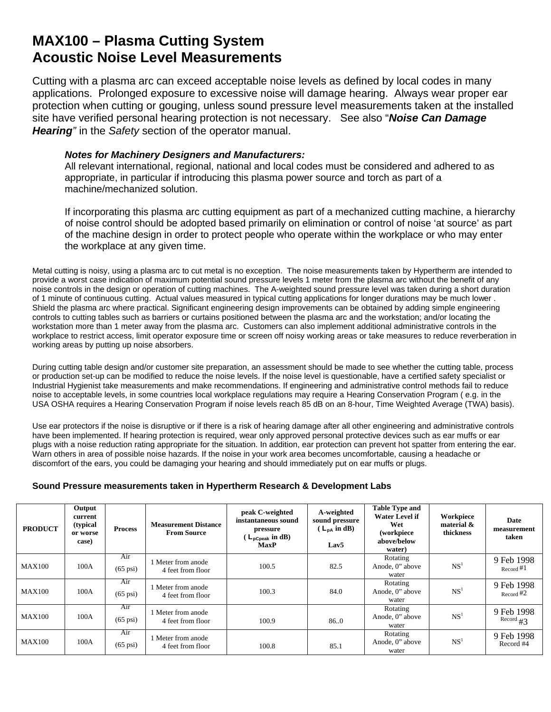## **MAX100 – Plasma Cutting System Acoustic Noise Level Measurements**

Cutting with a plasma arc can exceed acceptable noise levels as defined by local codes in many applications. Prolonged exposure to excessive noise will damage hearing. Always wear proper ear protection when cutting or gouging, unless sound pressure level measurements taken at the installed site have verified personal hearing protection is not necessary. See also "*Noise Can Damage Hearing"* in the *Safety* section of the operator manual.

## *Notes for Machinery Designers and Manufacturers:*

All relevant international, regional, national and local codes must be considered and adhered to as appropriate, in particular if introducing this plasma power source and torch as part of a machine/mechanized solution.

If incorporating this plasma arc cutting equipment as part of a mechanized cutting machine, a hierarchy of noise control should be adopted based primarily on elimination or control of noise 'at source' as part of the machine design in order to protect people who operate within the workplace or who may enter the workplace at any given time.

Metal cutting is noisy, using a plasma arc to cut metal is no exception. The noise measurements taken by Hypertherm are intended to provide a worst case indication of maximum potential sound pressure levels 1 meter from the plasma arc without the benefit of any noise controls in the design or operation of cutting machines. The A-weighted sound pressure level was taken during a short duration of 1 minute of continuous cutting. Actual values measured in typical cutting applications for longer durations may be much lower . Shield the plasma arc where practical. Significant engineering design improvements can be obtained by adding simple engineering controls to cutting tables such as barriers or curtains positioned between the plasma arc and the workstation; and/or locating the workstation more than 1 meter away from the plasma arc. Customers can also implement additional administrative controls in the workplace to restrict access, limit operator exposure time or screen off noisy working areas or take measures to reduce reverberation in working areas by putting up noise absorbers.

During cutting table design and/or customer site preparation, an assessment should be made to see whether the cutting table, process or production set-up can be modified to reduce the noise levels. If the noise level is questionable, have a certified safety specialist or Industrial Hygienist take measurements and make recommendations. If engineering and administrative control methods fail to reduce noise to acceptable levels, in some countries local workplace regulations may require a Hearing Conservation Program ( e.g. in the USA OSHA requires a Hearing Conservation Program if noise levels reach 85 dB on an 8-hour, Time Weighted Average (TWA) basis).

Use ear protectors if the noise is disruptive or if there is a risk of hearing damage after all other engineering and administrative controls have been implemented. If hearing protection is required, wear only approved personal protective devices such as ear muffs or ear plugs with a noise reduction rating appropriate for the situation. In addition, ear protection can prevent hot spatter from entering the ear. Warn others in area of possible noise hazards. If the noise in your work area becomes uncomfortable, causing a headache or discomfort of the ears, you could be damaging your hearing and should immediately put on ear muffs or plugs.

## **Sound Pressure measurements taken in Hypertherm Research & Development Labs**

| <b>PRODUCT</b> | Output<br>current<br>(typical<br>or worse<br>case) | <b>Process</b>            | <b>Measurement Distance</b><br><b>From Source</b> | peak C-weighted<br>instantaneous sound<br>pressure<br>$(L_{\text{pCpeak}} \text{ in dB})$<br><b>MaxP</b> | A-weighted<br>sound pressure<br>$(L_{DA}$ in dB)<br>Lav <sub>5</sub> | <b>Table Type and</b><br><b>Water Level if</b><br>Wet<br>(workpiece<br>above/below<br>water) | Workpiece<br>material $\&$<br>thickness | <b>Date</b><br>measurement<br>taken |
|----------------|----------------------------------------------------|---------------------------|---------------------------------------------------|----------------------------------------------------------------------------------------------------------|----------------------------------------------------------------------|----------------------------------------------------------------------------------------------|-----------------------------------------|-------------------------------------|
| <b>MAX100</b>  | 100A                                               | Air<br>$(65 \text{ psi})$ | 1 Meter from anode<br>4 feet from floor           | 100.5                                                                                                    | 82.5                                                                 | Rotating<br>Anode, 0" above<br>water                                                         | NS <sup>1</sup>                         | 9 Feb 1998<br>Record $#1$           |
| <b>MAX100</b>  | 100A                                               | Air<br>$(65 \text{ psi})$ | 1 Meter from anode<br>4 feet from floor           | 100.3                                                                                                    | 84.0                                                                 | Rotating<br>Anode, 0" above<br>water                                                         | NS <sup>1</sup>                         | 9 Feb 1998<br>Record $#2$           |
| <b>MAX100</b>  | 100A                                               | Air<br>$(65 \text{ psi})$ | 1 Meter from anode<br>4 feet from floor           | 100.9                                                                                                    | 86.0                                                                 | Rotating<br>Anode, 0" above<br>water                                                         | NS <sup>1</sup>                         | 9 Feb 1998<br>Record $#3$           |
| <b>MAX100</b>  | 100A                                               | Air<br>$(65 \text{ psi})$ | 1 Meter from anode<br>4 feet from floor           | 100.8                                                                                                    | 85.1                                                                 | Rotating<br>Anode, 0" above<br>water                                                         | NS <sup>1</sup>                         | 9 Feb 1998<br>Record #4             |